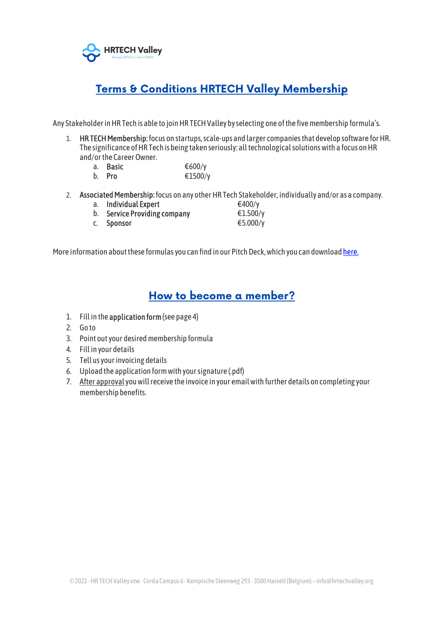

## **Terms & Conditions HRTECH Valley Membership**

Any Stakeholder in HR Tech is able to join HR TECH Valley by selecting one of the five membership formula's.

- 1. HR TECH Membership: focus on startups, scale-ups and larger companies that develop software for HR. The significance of HR Tech is being taken seriously: all technological solutions with a focus on HR and/or the Career Owner.
	- a. Basic  $600/y$
	- b. Pro €1500/y
- 2. Associated Membership: focus on any other HR Tech Stakeholder, individually and/or as a company.
	- a. Individual Expert  $\epsilon$ 400/y
		-
	- b. Service Providing company  $E1.500/y$ c. Sponsor  $\epsilon$ 5.000/y

More information about these formulas you can find in our Pitch Deck, which you can download here.

## How to become a member?

- 1. Fill in the application form (see page 4)
- 2. Go to
- 3. Point out your desired membership formula
- 4. Fill in your details
- 5. Tell us your invoicing details
- 6. Upload the application form with your signature (.pdf)
- 7. After approval you will receive the invoice in your email with further details on completing your membership benefits.